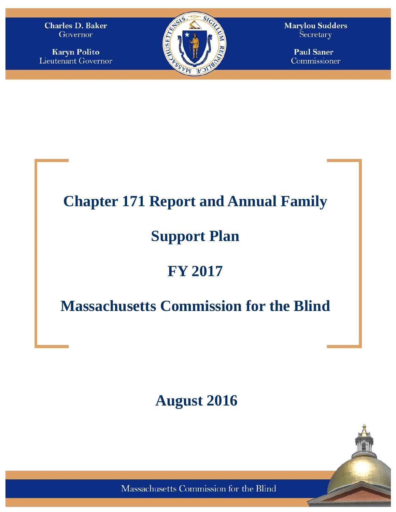**Charles D. Baker** Governor

**Karyn Polito** Lieutenant Governor



**Marylou Sudders** Secretary

> **Paul Saner** Commissioner

### **Chapter 171 Report and Annual Family**

# **Support Plan**

# **FY 2017**

# **Massachusetts Commission for the Blind**

# **August 2016**

Massachusetts Commission for the Blind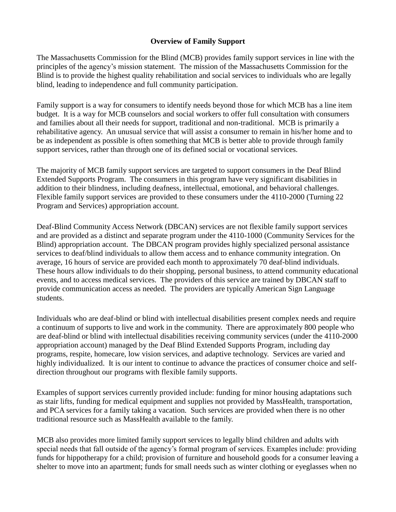#### **Overview of Family Support**

The Massachusetts Commission for the Blind (MCB) provides family support services in line with the principles of the agency's mission statement. The mission of the Massachusetts Commission for the Blind is to provide the highest quality rehabilitation and social services to individuals who are legally blind, leading to independence and full community participation.

Family support is a way for consumers to identify needs beyond those for which MCB has a line item budget. It is a way for MCB counselors and social workers to offer full consultation with consumers and families about all their needs for support, traditional and non-traditional. MCB is primarily a rehabilitative agency. An unusual service that will assist a consumer to remain in his/her home and to be as independent as possible is often something that MCB is better able to provide through family support services, rather than through one of its defined social or vocational services.

The majority of MCB family support services are targeted to support consumers in the Deaf Blind Extended Supports Program. The consumers in this program have very significant disabilities in addition to their blindness, including deafness, intellectual, emotional, and behavioral challenges. Flexible family support services are provided to these consumers under the 4110-2000 (Turning 22 Program and Services) appropriation account.

Deaf-Blind Community Access Network (DBCAN) services are not flexible family support services and are provided as a distinct and separate program under the 4110-1000 (Community Services for the Blind) appropriation account. The DBCAN program provides highly specialized personal assistance services to deaf/blind individuals to allow them access and to enhance community integration. On average, 16 hours of service are provided each month to approximately 70 deaf-blind individuals. These hours allow individuals to do their shopping, personal business, to attend community educational events, and to access medical services. The providers of this service are trained by DBCAN staff to provide communication access as needed. The providers are typically American Sign Language students.

Individuals who are deaf-blind or blind with intellectual disabilities present complex needs and require a continuum of supports to live and work in the community. There are approximately 800 people who are deaf-blind or blind with intellectual disabilities receiving community services (under the 4110-2000 appropriation account) managed by the Deaf Blind Extended Supports Program, including day programs, respite, homecare, low vision services, and adaptive technology. Services are varied and highly individualized. It is our intent to continue to advance the practices of consumer choice and selfdirection throughout our programs with flexible family supports.

Examples of support services currently provided include: funding for minor housing adaptations such as stair lifts, funding for medical equipment and supplies not provided by MassHealth, transportation, and PCA services for a family taking a vacation. Such services are provided when there is no other traditional resource such as MassHealth available to the family.

MCB also provides more limited family support services to legally blind children and adults with special needs that fall outside of the agency's formal program of services. Examples include: providing funds for hippotherapy for a child; provision of furniture and household goods for a consumer leaving a shelter to move into an apartment; funds for small needs such as winter clothing or eyeglasses when no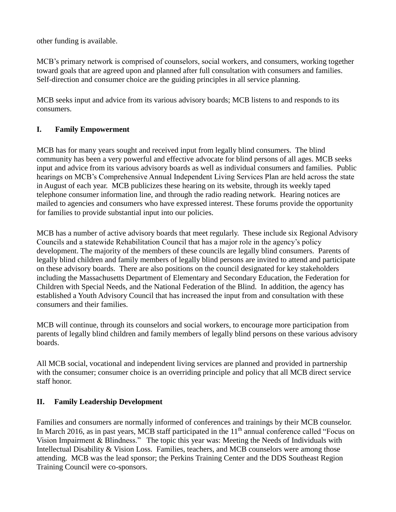other funding is available.

MCB's primary network is comprised of counselors, social workers, and consumers, working together toward goals that are agreed upon and planned after full consultation with consumers and families. Self-direction and consumer choice are the guiding principles in all service planning.

MCB seeks input and advice from its various advisory boards; MCB listens to and responds to its consumers.

#### **I. Family Empowerment**

MCB has for many years sought and received input from legally blind consumers. The blind community has been a very powerful and effective advocate for blind persons of all ages. MCB seeks input and advice from its various advisory boards as well as individual consumers and families. Public hearings on MCB's Comprehensive Annual Independent Living Services Plan are held across the state in August of each year. MCB publicizes these hearing on its website, through its weekly taped telephone consumer information line, and through the radio reading network. Hearing notices are mailed to agencies and consumers who have expressed interest. These forums provide the opportunity for families to provide substantial input into our policies.

MCB has a number of active advisory boards that meet regularly. These include six Regional Advisory Councils and a statewide Rehabilitation Council that has a major role in the agency's policy development. The majority of the members of these councils are legally blind consumers. Parents of legally blind children and family members of legally blind persons are invited to attend and participate on these advisory boards. There are also positions on the council designated for key stakeholders including the Massachusetts Department of Elementary and Secondary Education, the Federation for Children with Special Needs, and the National Federation of the Blind. In addition, the agency has established a Youth Advisory Council that has increased the input from and consultation with these consumers and their families.

MCB will continue, through its counselors and social workers, to encourage more participation from parents of legally blind children and family members of legally blind persons on these various advisory boards.

All MCB social, vocational and independent living services are planned and provided in partnership with the consumer; consumer choice is an overriding principle and policy that all MCB direct service staff honor.

#### **II. Family Leadership Development**

Families and consumers are normally informed of conferences and trainings by their MCB counselor. In March 2016, as in past years, MCB staff participated in the  $11<sup>th</sup>$  annual conference called "Focus on Vision Impairment & Blindness." The topic this year was: Meeting the Needs of Individuals with Intellectual Disability & Vision Loss. Families, teachers, and MCB counselors were among those attending. MCB was the lead sponsor; the Perkins Training Center and the DDS Southeast Region Training Council were co-sponsors.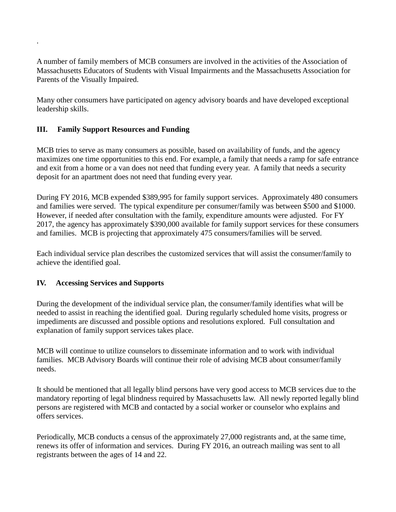A number of family members of MCB consumers are involved in the activities of the Association of Massachusetts Educators of Students with Visual Impairments and the Massachusetts Association for Parents of the Visually Impaired.

Many other consumers have participated on agency advisory boards and have developed exceptional leadership skills.

#### **III. Family Support Resources and Funding**

.

MCB tries to serve as many consumers as possible, based on availability of funds, and the agency maximizes one time opportunities to this end. For example, a family that needs a ramp for safe entrance and exit from a home or a van does not need that funding every year. A family that needs a security deposit for an apartment does not need that funding every year.

During FY 2016, MCB expended \$389,995 for family support services. Approximately 480 consumers and families were served. The typical expenditure per consumer/family was between \$500 and \$1000. However, if needed after consultation with the family, expenditure amounts were adjusted. For FY 2017, the agency has approximately \$390,000 available for family support services for these consumers and families. MCB is projecting that approximately 475 consumers/families will be served.

Each individual service plan describes the customized services that will assist the consumer/family to achieve the identified goal.

#### **IV. Accessing Services and Supports**

During the development of the individual service plan, the consumer/family identifies what will be needed to assist in reaching the identified goal. During regularly scheduled home visits, progress or impediments are discussed and possible options and resolutions explored. Full consultation and explanation of family support services takes place.

MCB will continue to utilize counselors to disseminate information and to work with individual families. MCB Advisory Boards will continue their role of advising MCB about consumer/family needs.

It should be mentioned that all legally blind persons have very good access to MCB services due to the mandatory reporting of legal blindness required by Massachusetts law. All newly reported legally blind persons are registered with MCB and contacted by a social worker or counselor who explains and offers services.

Periodically, MCB conducts a census of the approximately 27,000 registrants and, at the same time, renews its offer of information and services. During FY 2016, an outreach mailing was sent to all registrants between the ages of 14 and 22.